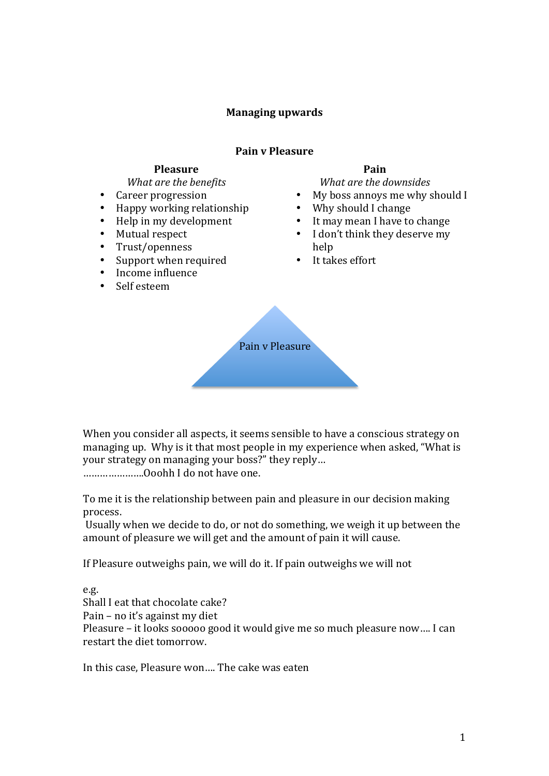## **Managing upwards**

#### **Pain v Pleasure**

### **Pleasure**

*What are the benefits*

- Career progression<br>• Hanny working rela
- Happy working relationship
- $\bullet$  Help in my development
- Mutual respect<br>• Trust/openness
- Trust/openness<br>• Sunnort when re
- Support when required
- Income influence
- Self esteem

## **Pain**

*What are the downsides* 

- My boss annoys me why should I
- Why should I change
- It may mean I have to change
- I don't think they deserve my help
- It takes effort



When you consider all aspects, it seems sensible to have a conscious strategy on managing up. Why is it that most people in my experience when asked, "What is vour strategy on managing your boss?" they reply... ........................Ooohh I do not have one.

To me it is the relationship between pain and pleasure in our decision making process.

Usually when we decide to do, or not do something, we weigh it up between the amount of pleasure we will get and the amount of pain it will cause.

If Pleasure outweighs pain, we will do it. If pain outweighs we will not

e.g. Shall I eat that chocolate cake? Pain – no it's against my diet Pleasure – it looks sooooo good it would give me so much pleasure now.... I can restart the diet tomorrow.

In this case, Pleasure won.... The cake was eaten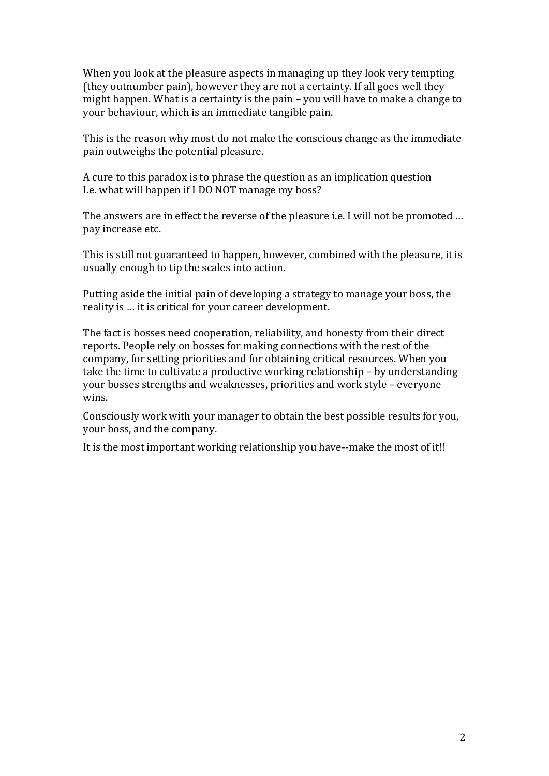When you look at the pleasure aspects in managing up they look very tempting (they outnumber pain), however they are not a certainty. If all goes well they might happen. What is a certainty is the pain  $-$  you will have to make a change to your behaviour, which is an immediate tangible pain.

This is the reason why most do not make the conscious change as the immediate pain outweighs the potential pleasure.

A cure to this paradox is to phrase the question as an implication question I.e. what will happen if I DO NOT manage my boss?

The answers are in effect the reverse of the pleasure i.e. I will not be promoted ... pay increase etc.

This is still not guaranteed to happen, however, combined with the pleasure, it is usually enough to tip the scales into action.

Putting aside the initial pain of developing a strategy to manage your boss, the reality is ... it is critical for your career development.

The fact is bosses need cooperation, reliability, and honesty from their direct reports. People rely on bosses for making connections with the rest of the company, for setting priorities and for obtaining critical resources. When you take the time to cultivate a productive working relationship – by understanding your bosses strengths and weaknesses, priorities and work style - everyone wins.

Consciously work with your manager to obtain the best possible results for you, your boss, and the company.

It is the most important working relationship you have--make the most of it!!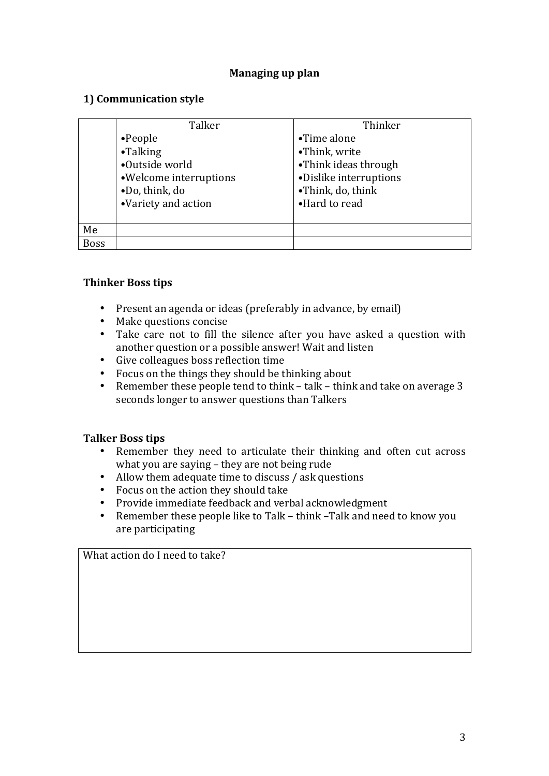## **Managing up plan**

## **1) Communication style**

|             | Talker                  | Thinker                |
|-------------|-------------------------|------------------------|
|             | $\bullet$ People        | •Time alone            |
|             | •Talking                | •Think, write          |
|             | •Outside world          | •Think ideas through   |
|             | • Welcome interruptions | ·Dislike interruptions |
|             | .Do, think, do          | •Think, do, think      |
|             | •Variety and action     | •Hard to read          |
|             |                         |                        |
| Me          |                         |                        |
| <b>Boss</b> |                         |                        |

### **Thinker Boss tips**

- Present an agenda or ideas (preferably in advance, by email)
- Make questions concise
- Take care not to fill the silence after you have asked a question with another question or a possible answer! Wait and listen
- Give colleagues boss reflection time
- Focus on the things they should be thinking about
- Remember these people tend to think  $-$  talk  $-$  think and take on average 3 seconds longer to answer questions than Talkers

### **Talker Boss tips**

- Remember they need to articulate their thinking and often cut across what you are saying  $-$  they are not being rude
- Allow them adequate time to discuss / ask questions
- Focus on the action they should take
- Provide immediate feedback and verbal acknowledgment
- Remember these people like to Talk think Talk and need to know you are participating

What action do I need to take?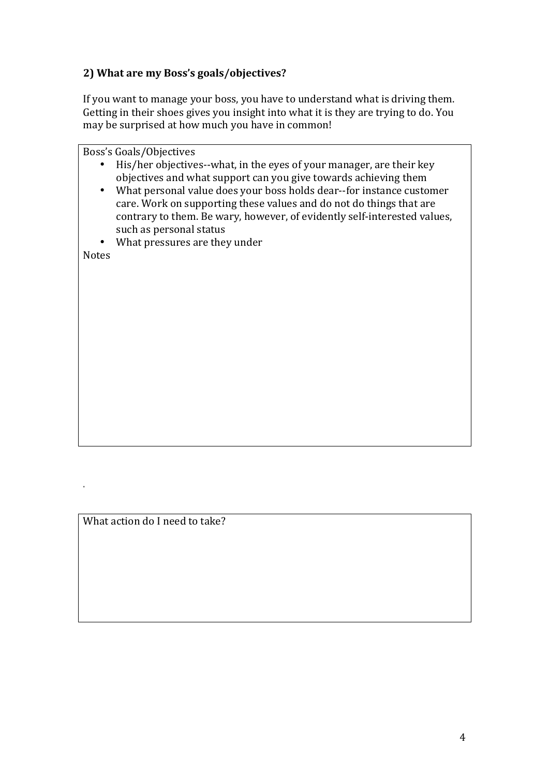# **2) What are my Boss's goals/objectives?**

If you want to manage your boss, you have to understand what is driving them. Getting in their shoes gives you insight into what it is they are trying to do. You may be surprised at how much you have in common!

Boss's Goals/Objectives • His/her objectives--what, in the eyes of your manager, are their key objectives and what support can you give towards achieving them • What personal value does your boss holds dear--for instance customer care. Work on supporting these values and do not do things that are contrary to them. Be wary, however, of evidently self-interested values, such as personal status What pressures are they under Notes

What action do I need to take?

.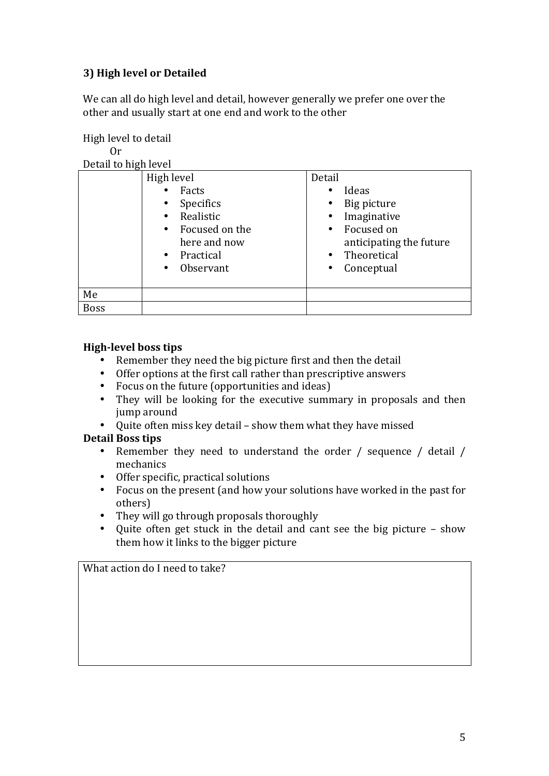# **3) High level or Detailed**

We can all do high level and detail, however generally we prefer one over the other and usually start at one end and work to the other

High level to detail Or

| Detail to high level |                        |                          |
|----------------------|------------------------|--------------------------|
|                      | High level             | Detail                   |
|                      | Facts                  | Ideas                    |
|                      | Specifics<br>$\bullet$ | Big picture              |
|                      | Realistic<br>$\bullet$ | Imaginative              |
|                      | • Focused on the       | Focused on<br>$\bullet$  |
|                      | here and now           | anticipating the future  |
|                      | • Practical            | Theoretical<br>$\bullet$ |
|                      | Observant<br>$\bullet$ | Conceptual<br>$\bullet$  |
|                      |                        |                          |
| Me                   |                        |                          |
| <b>Boss</b>          |                        |                          |

## **High-level boss tips**

- Remember they need the big picture first and then the detail
- Offer options at the first call rather than prescriptive answers
- Focus on the future (opportunities and ideas)
- They will be looking for the executive summary in proposals and then jump around
- Quite often miss key detail show them what they have missed

# **Detail Boss tips**

- Remember they need to understand the order / sequence / detail / mechanics
- Offer specific, practical solutions
- Focus on the present (and how your solutions have worked in the past for others)
- They will go through proposals thoroughly
- Quite often get stuck in the detail and cant see the big picture show them how it links to the bigger picture

What action do I need to take?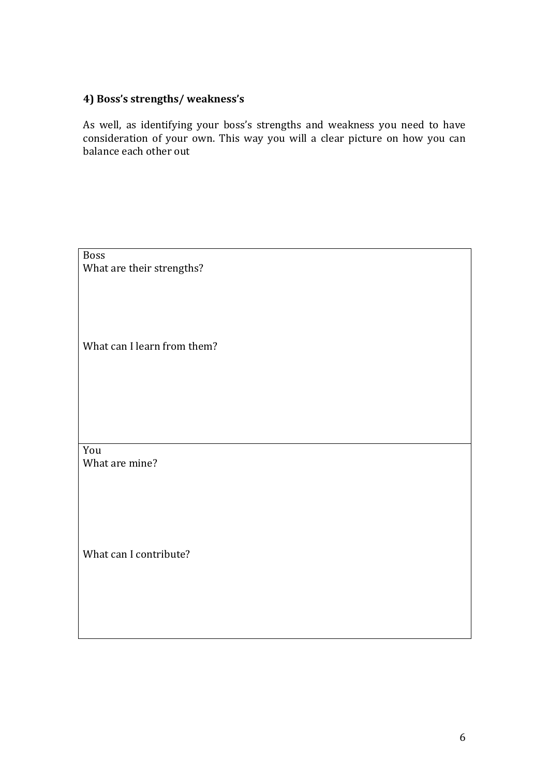## **4) Boss's strengths/ weakness's**

As well, as identifying your boss's strengths and weakness you need to have consideration of your own. This way you will a clear picture on how you can balance each other out

Boss What are their strengths? What can I learn from them? You What are mine? What can I contribute?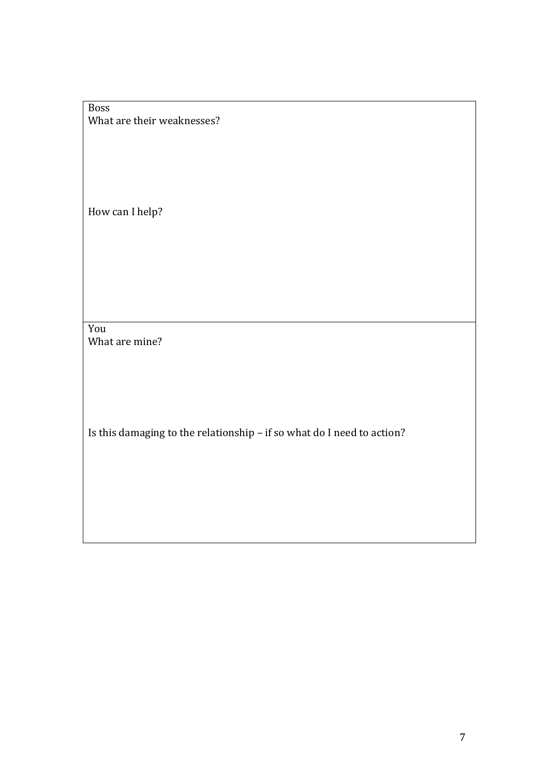### Boss What are their weaknesses?

How can I help?

You What are mine?

Is this damaging to the relationship - if so what do I need to action?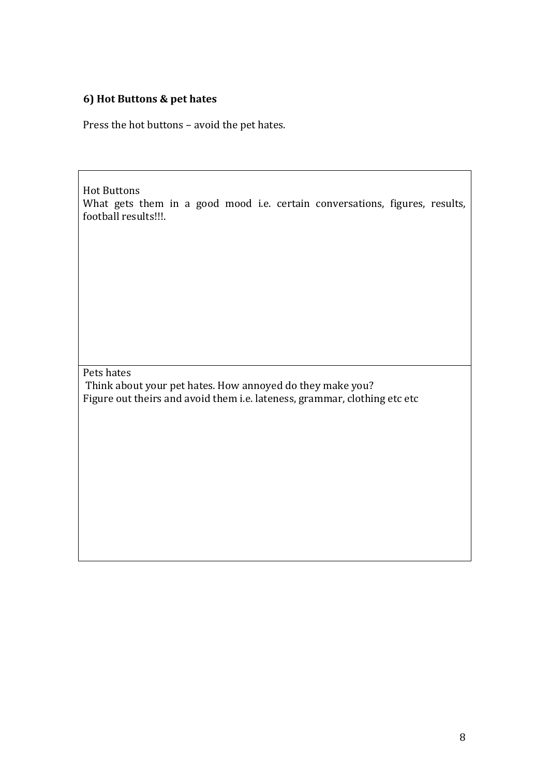# **6) Hot Buttons & pet hates**

Press the hot buttons - avoid the pet hates.

**Hot Buttons** What gets them in a good mood i.e. certain conversations, figures, results, football results!!!.

Pets hates

Think about your pet hates. How annoyed do they make you? Figure out theirs and avoid them i.e. lateness, grammar, clothing etc etc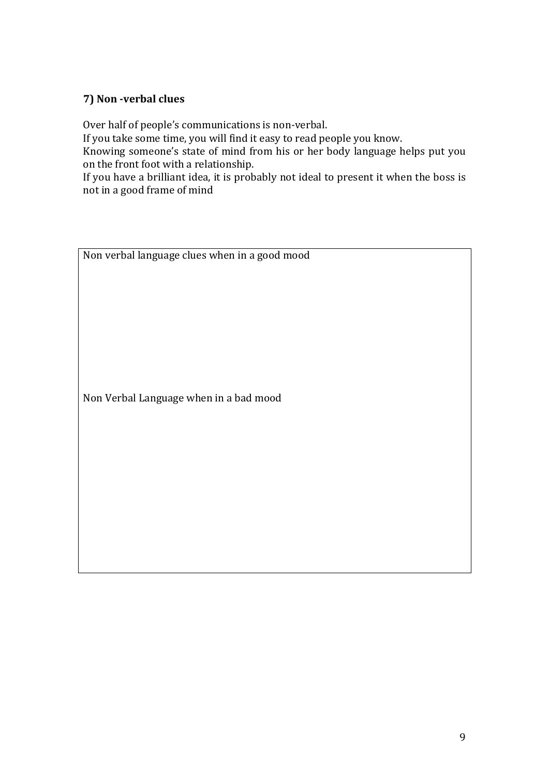# **7) Non -verbal clues**

Over half of people's communications is non-verbal.

If you take some time, you will find it easy to read people you know.

Knowing someone's state of mind from his or her body language helps put you on the front foot with a relationship.

If you have a brilliant idea, it is probably not ideal to present it when the boss is not in a good frame of mind

Non verbal language clues when in a good mood

Non Verbal Language when in a bad mood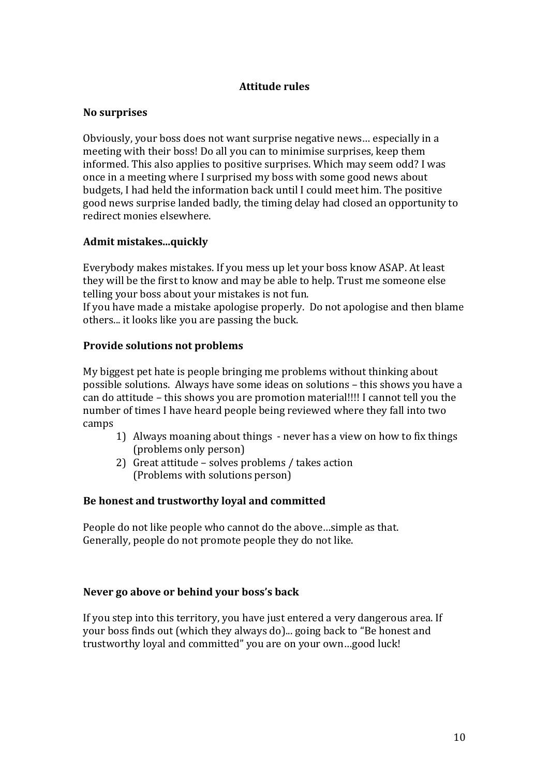## **Attitude rules**

#### **No surprises**

Obviously, your boss does not want surprise negative news... especially in a meeting with their boss! Do all you can to minimise surprises, keep them informed. This also applies to positive surprises. Which may seem odd? I was once in a meeting where I surprised my boss with some good news about budgets. I had held the information back until I could meet him. The positive good news surprise landed badly, the timing delay had closed an opportunity to redirect monies elsewhere.

### **Admit mistakes...quickly**

Everybody makes mistakes. If you mess up let your boss know ASAP. At least they will be the first to know and may be able to help. Trust me someone else telling your boss about your mistakes is not fun.

If you have made a mistake apologise properly. Do not apologise and then blame others... it looks like you are passing the buck.

#### **Provide solutions not problems**

My biggest pet hate is people bringing me problems without thinking about possible solutions. Always have some ideas on solutions – this shows you have a can do attitude – this shows you are promotion material!!!! I cannot tell you the number of times I have heard people being reviewed where they fall into two camps

- 1) Always moaning about things never has a view on how to fix things (problems only person)
- 2) Great attitude solves problems / takes action (Problems with solutions person)

#### Be honest and trustworthy loyal and committed

People do not like people who cannot do the above...simple as that. Generally, people do not promote people they do not like.

#### Never go above or behind your boss's back

If you step into this territory, you have just entered a very dangerous area. If your boss finds out (which they always do)... going back to "Be honest and trustworthy loyal and committed" you are on your own...good luck!